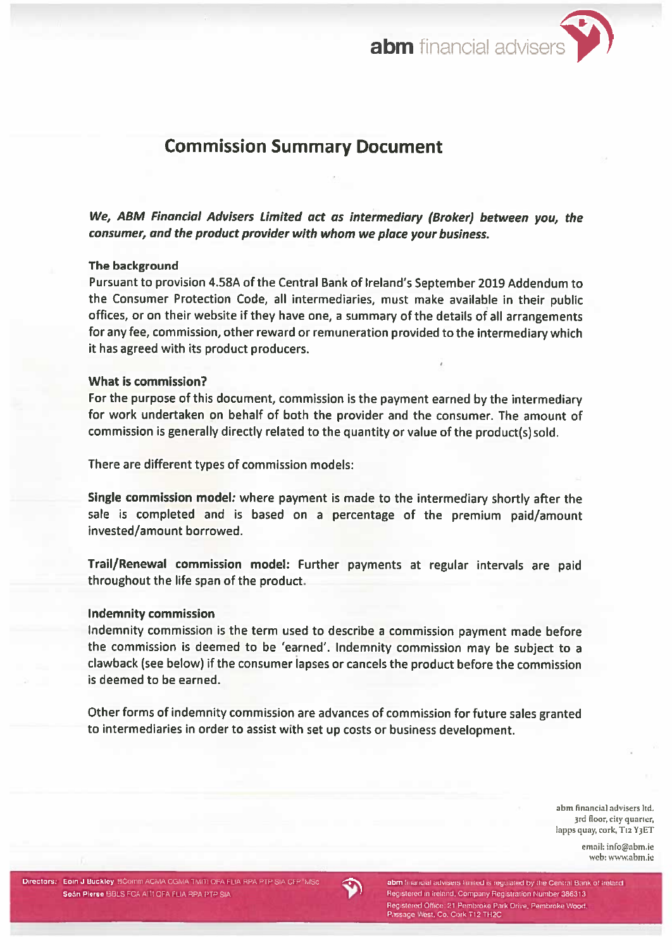abm financial adviser



# **Commission Summary Document**

We, ABM Financial Advisers Limited act as intermediary (Broker) between you, the consumer, and the product provider with whom we place your business.

### The background

Pursuant to provision 4.58A of the Central Bank of Ireland's September 2019 Addendum to the Consumer Protection Code, all intermediaries, must make available in their public offices, or on their website if they have one, a summary of the details of all arrangements for any fee, commission, other reward or remuneration provided to the intermediary which it has agreed with its product producers.

### What is commission?

For the purpose of this document, commission is the payment earned by the intermediary for work undertaken on behalf of both the provider and the consumer. The amount of commission is generally directly related to the quantity or value of the product(s) sold.

There are different types of commission models:

Single commission model: where payment is made to the intermediary shortly after the sale is completed and is based on a percentage of the premium paid/amount invested/amount borrowed.

Trail/Renewal commission model: Further payments at regular intervals are paid throughout the life span of the product.

### **Indemnity commission**

Indemnity commission is the term used to describe a commission payment made before the commission is deemed to be 'earned'. Indemnity commission may be subject to a clawback (see below) if the consumer lapses or cancels the product before the commission is deemed to be earned.

Other forms of indemnity commission are advances of commission for future sales granted to intermediaries in order to assist with set up costs or business development.

> abm financial advisers ltd. 3rd floor, city quarter, lapps quay, cork, T12 Y3ET

> > email: info@abm.ie web: www.abm.ie



abm financial advisers limited is regulated by the Central Bank of Ireland Registered in Ireland, Company Registration Number 386313 Registered Office: 21 Pembroke Park Drive, Pembroke Wood, Passage West, Co. Cork T12 TH2C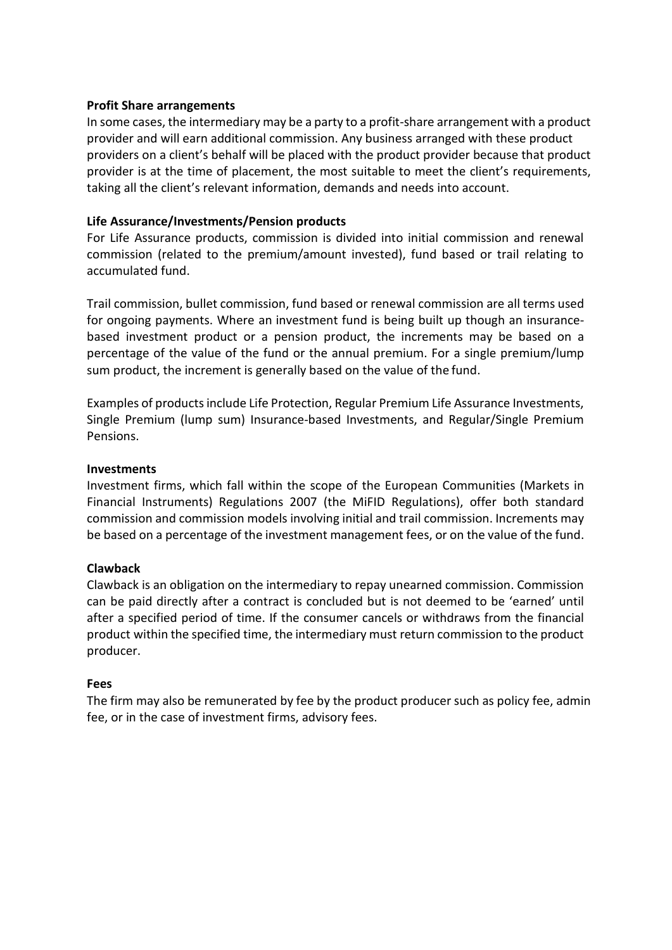#### **Profit Share arrangements**

In some cases, the intermediary may be a party to a profit-share arrangement with a product provider and will earn additional commission. Any business arranged with these product providers on a client's behalf will be placed with the product provider because that product provider is at the time of placement, the most suitable to meet the client's requirements, taking all the client's relevant information, demands and needs into account.

### **Life Assurance/Investments/Pension products**

For Life Assurance products, commission is divided into initial commission and renewal commission (related to the premium/amount invested), fund based or trail relating to accumulated fund.

Trail commission, bullet commission, fund based or renewal commission are all terms used for ongoing payments. Where an investment fund is being built up though an insurancebased investment product or a pension product, the increments may be based on a percentage of the value of the fund or the annual premium. For a single premium/lump sum product, the increment is generally based on the value of the fund.

Examples of products include Life Protection, Regular Premium Life Assurance Investments, Single Premium (lump sum) Insurance-based Investments, and Regular/Single Premium Pensions.

#### **Investments**

Investment firms, which fall within the scope of the European Communities (Markets in Financial Instruments) Regulations 2007 (the MiFID Regulations), offer both standard commission and commission models involving initial and trail commission. Increments may be based on a percentage of the investment management fees, or on the value of the fund.

### **Clawback**

Clawback is an obligation on the intermediary to repay unearned commission. Commission can be paid directly after a contract is concluded but is not deemed to be 'earned' until after a specified period of time. If the consumer cancels or withdraws from the financial product within the specified time, the intermediary must return commission to the product producer.

#### **Fees**

The firm may also be remunerated by fee by the product producer such as policy fee, admin fee, or in the case of investment firms, advisory fees.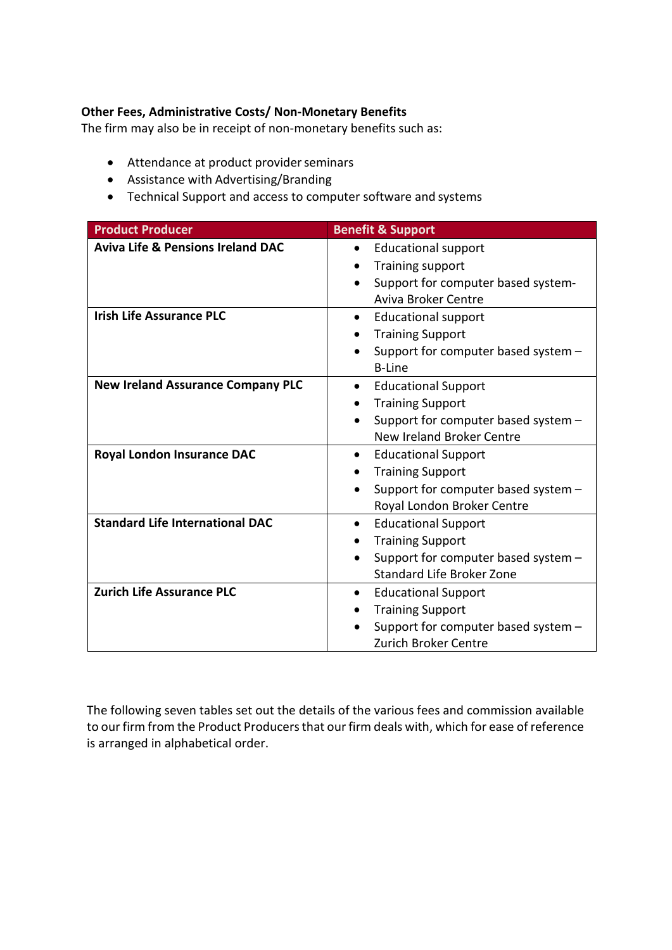### **Other Fees, Administrative Costs/ Non-Monetary Benefits**

The firm may also be in receipt of non-monetary benefits such as:

- Attendance at product provider seminars
- Assistance with Advertising/Branding
- Technical Support and access to computer software and systems

| <b>Product Producer</b>                      | <b>Benefit &amp; Support</b>            |
|----------------------------------------------|-----------------------------------------|
| <b>Aviva Life &amp; Pensions Ireland DAC</b> | <b>Educational support</b>              |
|                                              | Training support                        |
|                                              | Support for computer based system-      |
|                                              | Aviva Broker Centre                     |
| <b>Irish Life Assurance PLC</b>              | <b>Educational support</b><br>$\bullet$ |
|                                              | <b>Training Support</b>                 |
|                                              | Support for computer based system -     |
|                                              | <b>B-Line</b>                           |
| <b>New Ireland Assurance Company PLC</b>     | <b>Educational Support</b><br>$\bullet$ |
|                                              | <b>Training Support</b>                 |
|                                              | Support for computer based system -     |
|                                              | New Ireland Broker Centre               |
| <b>Royal London Insurance DAC</b>            | <b>Educational Support</b><br>$\bullet$ |
|                                              | <b>Training Support</b>                 |
|                                              | Support for computer based system -     |
|                                              | Royal London Broker Centre              |
| <b>Standard Life International DAC</b>       | <b>Educational Support</b><br>$\bullet$ |
|                                              | <b>Training Support</b>                 |
|                                              | Support for computer based system -     |
|                                              | <b>Standard Life Broker Zone</b>        |
| <b>Zurich Life Assurance PLC</b>             | <b>Educational Support</b><br>$\bullet$ |
|                                              | <b>Training Support</b>                 |
|                                              | Support for computer based system -     |
|                                              | Zurich Broker Centre                    |

The following seven tables set out the details of the various fees and commission available to our firm from the Product Producers that our firm deals with, which for ease of reference is arranged in alphabetical order.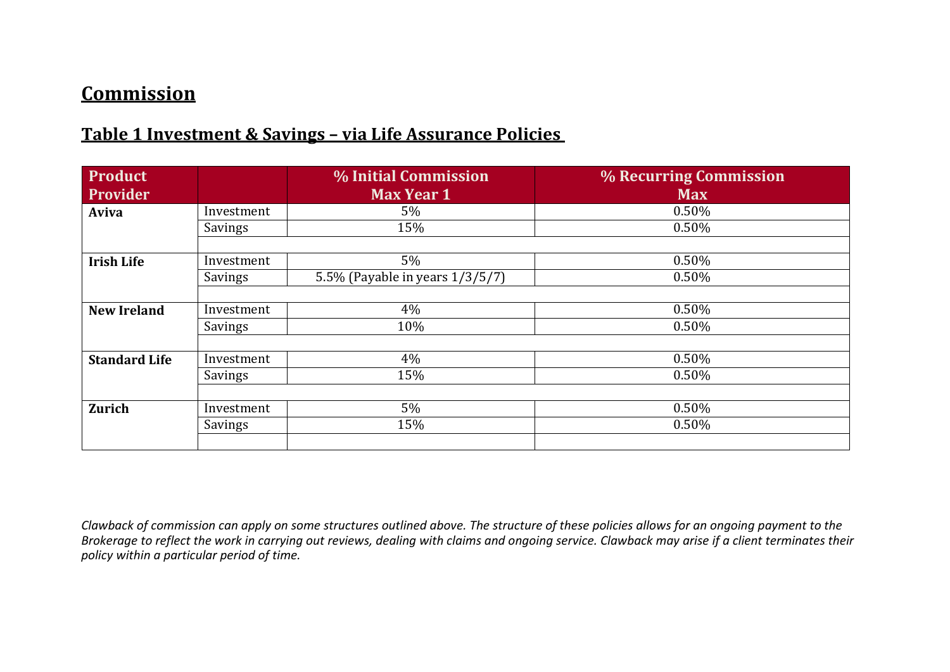# **Commission**

## **Table 1 Investment & Savings – via Life Assurance Policies**

| Product              |            | % Initial Commission            | % Recurring Commission |
|----------------------|------------|---------------------------------|------------------------|
| Provider             |            | <b>Max Year 1</b>               | <b>Max</b>             |
| Aviva                | Investment | $5\%$                           | 0.50%                  |
|                      | Savings    | 15%                             | 0.50%                  |
|                      |            |                                 |                        |
| <b>Irish Life</b>    | Investment | 5%                              | 0.50%                  |
|                      | Savings    | 5.5% (Payable in years 1/3/5/7) | 0.50%                  |
|                      |            |                                 |                        |
| <b>New Ireland</b>   | Investment | 4%                              | 0.50%                  |
|                      | Savings    | 10%                             | 0.50%                  |
|                      |            |                                 |                        |
| <b>Standard Life</b> | Investment | 4%                              | 0.50%                  |
|                      | Savings    | 15%                             | 0.50%                  |
|                      |            |                                 |                        |
| <b>Zurich</b>        | Investment | 5%                              | 0.50%                  |
|                      | Savings    | 15%                             | 0.50%                  |
|                      |            |                                 |                        |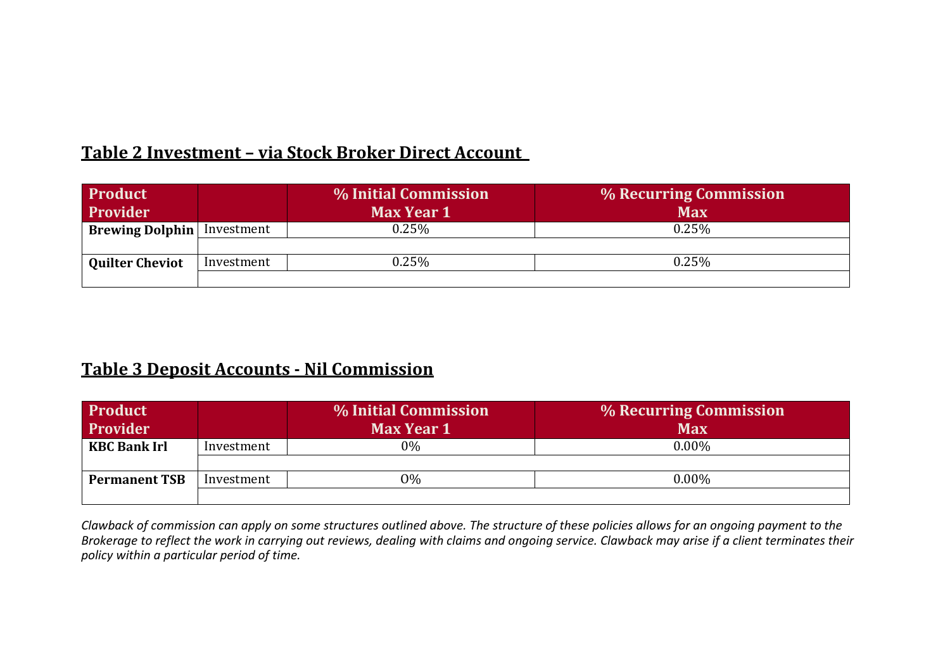## **Table 2 Investment – via Stock Broker Direct Account**

| <b>Product</b>                    |            | % Initial Commission | % Recurring Commission |
|-----------------------------------|------------|----------------------|------------------------|
| <b>Provider</b>                   |            | <b>Max Year 1</b>    | <b>Max</b>             |
| <b>Brewing Dolphin</b> Investment |            | 0.25%                | $0.25\%$               |
|                                   |            |                      |                        |
| <b>Quilter Cheviot</b>            | Investment | $0.25\%$             | 0.25%                  |
|                                   |            |                      |                        |

## **Table 3 Deposit Accounts - Nil Commission**

| <b>Product</b>       |            | % Initial Commission | % Recurring Commission |
|----------------------|------------|----------------------|------------------------|
| Provider             |            | <b>Max Year 1</b>    | <b>Max</b>             |
| <b>KBC Bank Irl</b>  | Investment | $0\%$                | $0.00\%$               |
|                      |            |                      |                        |
| <b>Permanent TSB</b> | Investment | $9\%$                | $0.00\%$               |
|                      |            |                      |                        |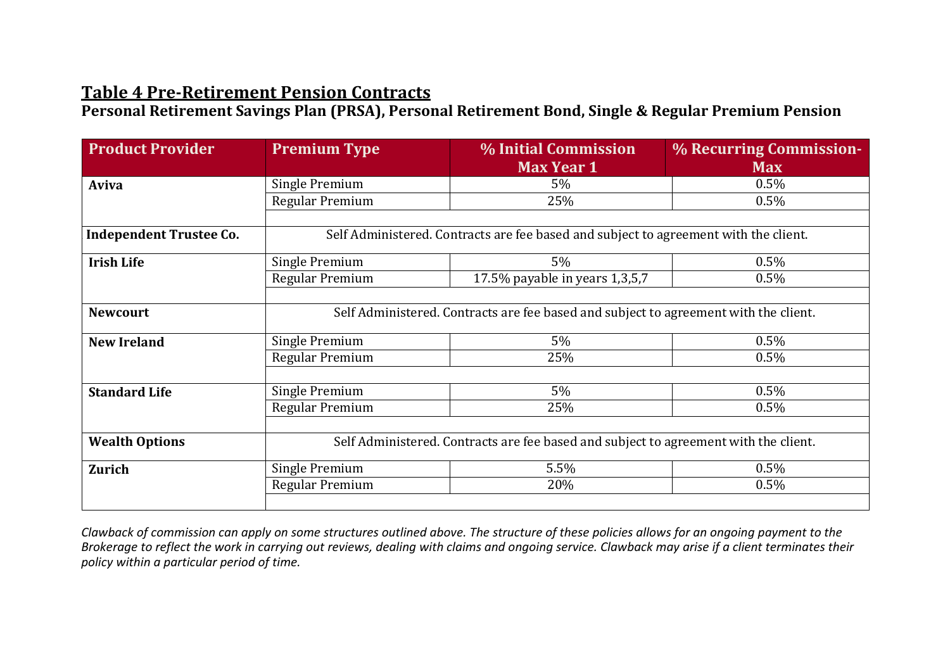## **Table 4 Pre-Retirement Pension Contracts**

**Personal Retirement Savings Plan (PRSA), Personal Retirement Bond, Single & Regular Premium Pension**

| <b>Product Provider</b>        | <b>Premium Type</b>                                                                  | % Initial Commission<br><b>Max Year 1</b>                                            | % Recurring Commission-<br><b>Max</b> |  |  |
|--------------------------------|--------------------------------------------------------------------------------------|--------------------------------------------------------------------------------------|---------------------------------------|--|--|
| Aviva                          | Single Premium                                                                       | $5\%$                                                                                | 0.5%                                  |  |  |
|                                | Regular Premium                                                                      | 25%                                                                                  | 0.5%                                  |  |  |
|                                |                                                                                      |                                                                                      |                                       |  |  |
| <b>Independent Trustee Co.</b> |                                                                                      | Self Administered. Contracts are fee based and subject to agreement with the client. |                                       |  |  |
| <b>Irish Life</b>              | Single Premium                                                                       | 5%                                                                                   | 0.5%                                  |  |  |
|                                | Regular Premium                                                                      | 17.5% payable in years 1,3,5,7                                                       | 0.5%                                  |  |  |
|                                |                                                                                      |                                                                                      |                                       |  |  |
| <b>Newcourt</b>                |                                                                                      | Self Administered. Contracts are fee based and subject to agreement with the client. |                                       |  |  |
| <b>New Ireland</b>             | Single Premium                                                                       | 5%                                                                                   | 0.5%                                  |  |  |
|                                | Regular Premium                                                                      | 25%                                                                                  | 0.5%                                  |  |  |
|                                |                                                                                      |                                                                                      |                                       |  |  |
| <b>Standard Life</b>           | Single Premium                                                                       | 5%                                                                                   | 0.5%                                  |  |  |
|                                | Regular Premium                                                                      | 25%                                                                                  | $0.5\%$                               |  |  |
|                                |                                                                                      |                                                                                      |                                       |  |  |
| <b>Wealth Options</b>          | Self Administered. Contracts are fee based and subject to agreement with the client. |                                                                                      |                                       |  |  |
| <b>Zurich</b>                  | Single Premium                                                                       | 5.5%                                                                                 | 0.5%                                  |  |  |
|                                | Regular Premium                                                                      | 20%                                                                                  | 0.5%                                  |  |  |
|                                |                                                                                      |                                                                                      |                                       |  |  |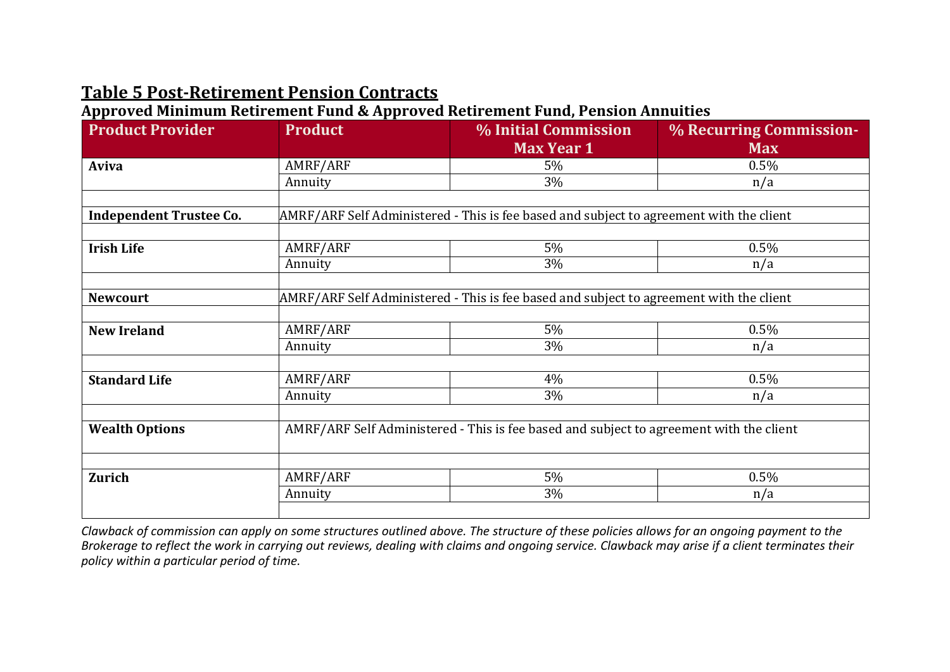# **Table 5 Post-Retirement Pension Contracts**

**Approved Minimum Retirement Fund & Approved Retirement Fund, Pension Annuities**

| <b>Product Provider</b>        | <b>Product</b>                                                                          | <b>% Initial Commission</b><br><b>Max Year 1</b>                                        | % Recurring Commission-<br><b>Max</b> |  |
|--------------------------------|-----------------------------------------------------------------------------------------|-----------------------------------------------------------------------------------------|---------------------------------------|--|
| Aviva                          | AMRF/ARF                                                                                | 5%                                                                                      | 0.5%                                  |  |
|                                | Annuity                                                                                 | 3%                                                                                      | n/a                                   |  |
|                                |                                                                                         |                                                                                         |                                       |  |
| <b>Independent Trustee Co.</b> |                                                                                         | AMRF/ARF Self Administered - This is fee based and subject to agreement with the client |                                       |  |
|                                |                                                                                         |                                                                                         |                                       |  |
| <b>Irish Life</b>              | AMRF/ARF                                                                                | 5%                                                                                      | 0.5%                                  |  |
|                                | Annuity                                                                                 | 3%                                                                                      | n/a                                   |  |
|                                |                                                                                         |                                                                                         |                                       |  |
| <b>Newcourt</b>                |                                                                                         | AMRF/ARF Self Administered - This is fee based and subject to agreement with the client |                                       |  |
|                                |                                                                                         |                                                                                         |                                       |  |
| <b>New Ireland</b>             | AMRF/ARF                                                                                | 5%                                                                                      | 0.5%                                  |  |
|                                | Annuity                                                                                 | 3%                                                                                      | n/a                                   |  |
|                                |                                                                                         |                                                                                         |                                       |  |
| <b>Standard Life</b>           | AMRF/ARF                                                                                | 4%                                                                                      | 0.5%                                  |  |
|                                | Annuity                                                                                 | 3%                                                                                      | n/a                                   |  |
|                                |                                                                                         |                                                                                         |                                       |  |
| <b>Wealth Options</b>          | AMRF/ARF Self Administered - This is fee based and subject to agreement with the client |                                                                                         |                                       |  |
|                                |                                                                                         |                                                                                         |                                       |  |
| <b>Zurich</b>                  | AMRF/ARF                                                                                | 5%                                                                                      | 0.5%                                  |  |
|                                | Annuity                                                                                 | 3%                                                                                      | n/a                                   |  |
|                                |                                                                                         |                                                                                         |                                       |  |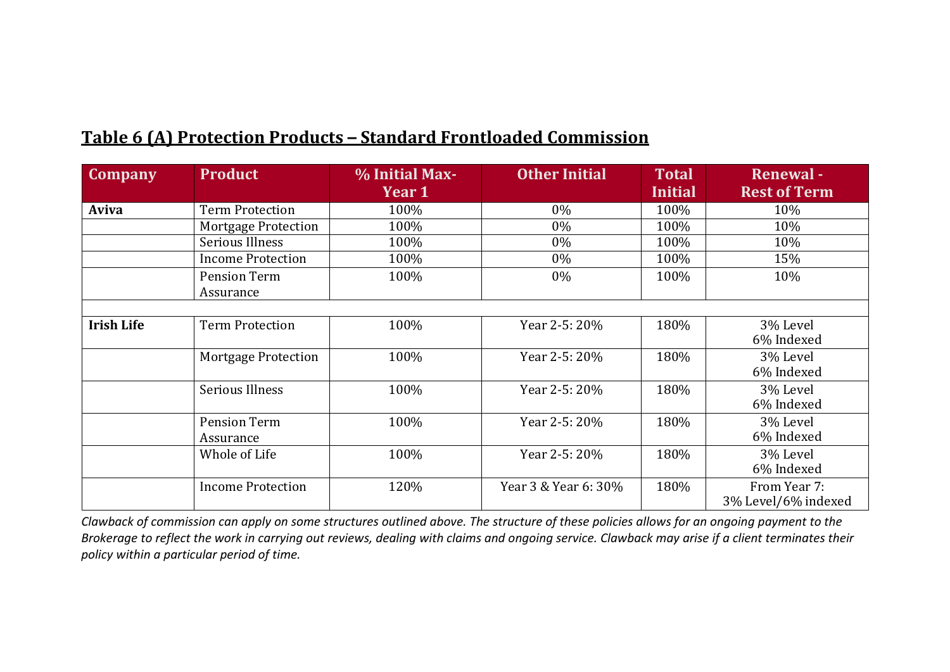| <b>Company</b>    | <b>Product</b>             | % Initial Max-<br>Year 1 | <b>Other Initial</b> | <b>Total</b><br><b>Initial</b> | <b>Renewal-</b><br><b>Rest of Term</b> |
|-------------------|----------------------------|--------------------------|----------------------|--------------------------------|----------------------------------------|
| Aviva             | <b>Term Protection</b>     | 100%                     | 0%                   | 100%                           | 10%                                    |
|                   | <b>Mortgage Protection</b> | 100%                     | $0\%$                | 100%                           | 10%                                    |
|                   | Serious Illness            | 100%                     | 0%                   | 100%                           | 10%                                    |
|                   | <b>Income Protection</b>   | 100%                     | $0\%$                | 100%                           | 15%                                    |
|                   | Pension Term<br>Assurance  | 100%                     | $0\%$                | 100%                           | 10%                                    |
|                   |                            |                          |                      |                                |                                        |
| <b>Irish Life</b> | <b>Term Protection</b>     | 100%                     | Year 2-5: 20%        | 180%                           | 3% Level<br>6% Indexed                 |
|                   | <b>Mortgage Protection</b> | 100%                     | Year 2-5: 20%        | 180%                           | 3% Level<br>6% Indexed                 |
|                   | <b>Serious Illness</b>     | 100%                     | Year 2-5: 20%        | 180%                           | 3% Level<br>6% Indexed                 |
|                   | Pension Term<br>Assurance  | 100%                     | Year 2-5: 20%        | 180%                           | 3% Level<br>6% Indexed                 |
|                   | Whole of Life              | 100%                     | Year 2-5: 20%        | 180%                           | 3% Level<br>6% Indexed                 |
|                   | <b>Income Protection</b>   | 120%                     | Year 3 & Year 6: 30% | 180%                           | From Year 7:<br>3% Level/6% indexed    |

## **Table 6 (A) Protection Products – Standard Frontloaded Commission**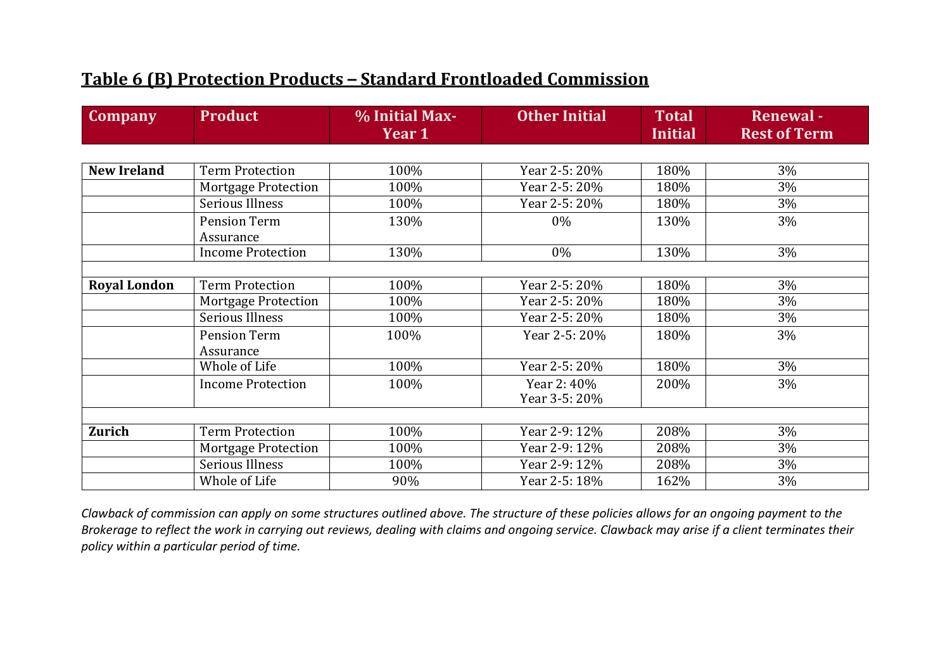## **Table 6 (B) Protection Products – Standard Frontloaded Commission**

| <b>Company</b>      | <b>Product</b>                   | % Initial Max-<br>Year 1 | <b>Other Initial</b>        | <b>Total</b><br><b>Initial</b> | <b>Renewal-</b><br><b>Rest of Term</b> |
|---------------------|----------------------------------|--------------------------|-----------------------------|--------------------------------|----------------------------------------|
|                     |                                  |                          |                             |                                |                                        |
| <b>New Ireland</b>  | <b>Term Protection</b>           | 100%                     | Year 2-5: 20%               | 180%                           | 3%                                     |
|                     | <b>Mortgage Protection</b>       | 100%                     | Year 2-5: 20%               | 180%                           | 3%                                     |
|                     | <b>Serious Illness</b>           | 100%                     | Year 2-5: 20%               | 180%                           | 3%                                     |
|                     | <b>Pension Term</b><br>Assurance | 130%                     | 0%                          | 130%                           | 3%                                     |
|                     | <b>Income Protection</b>         | 130%                     | 0%                          | 130%                           | 3%                                     |
|                     |                                  |                          |                             |                                |                                        |
| <b>Royal London</b> | <b>Term Protection</b>           | 100%                     | Year 2-5: 20%               | 180%                           | 3%                                     |
|                     | <b>Mortgage Protection</b>       | 100%                     | Year 2-5: 20%               | 180%                           | 3%                                     |
|                     | <b>Serious Illness</b>           | 100%                     | Year 2-5: 20%               | 180%                           | 3%                                     |
|                     | <b>Pension Term</b><br>Assurance | 100%                     | Year 2-5: 20%               | 180%                           | 3%                                     |
|                     | Whole of Life                    | 100%                     | Year 2-5: 20%               | 180%                           | 3%                                     |
|                     | <b>Income Protection</b>         | 100%                     | Year 2:40%<br>Year 3-5: 20% | 200%                           | 3%                                     |
|                     |                                  |                          |                             |                                |                                        |
| <b>Zurich</b>       | <b>Term Protection</b>           | 100%                     | Year 2-9: 12%               | 208%                           | 3%                                     |
|                     | <b>Mortgage Protection</b>       | 100%                     | Year 2-9: 12%               | 208%                           | 3%                                     |
|                     | Serious Illness                  | 100%                     | Year 2-9: 12%               | 208%                           | 3%                                     |
|                     | Whole of Life                    | 90%                      | Year 2-5: 18%               | 162%                           | 3%                                     |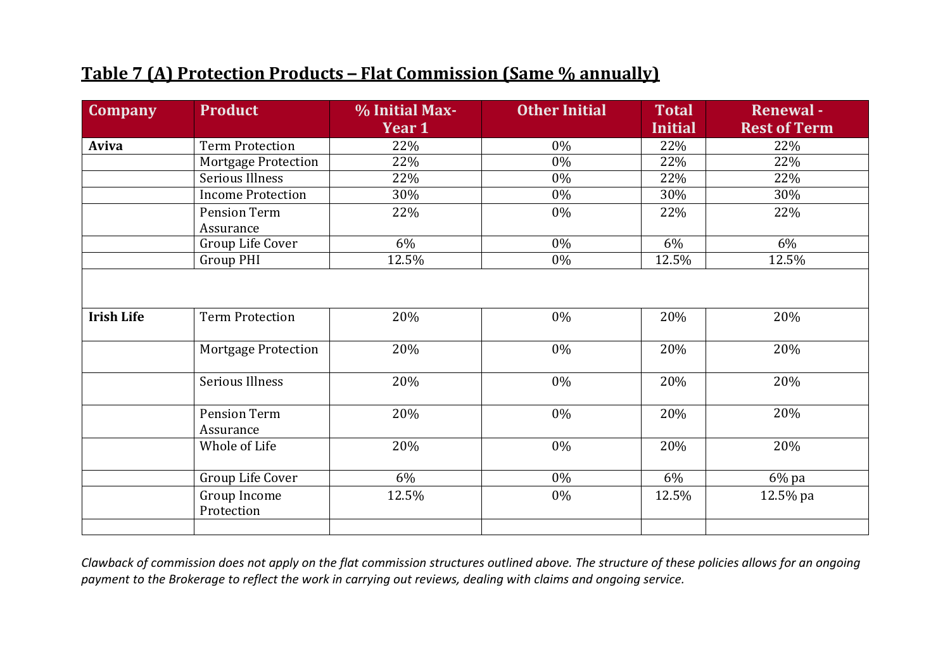## **Table 7 (A) Protection Products – Flat Commission (Same % annually)**

| <b>Company</b>    | <b>Product</b>                   | % Initial Max- | <b>Other Initial</b> | <b>Total</b>   | <b>Renewal-</b>     |
|-------------------|----------------------------------|----------------|----------------------|----------------|---------------------|
|                   |                                  | Year 1         |                      | <b>Initial</b> | <b>Rest of Term</b> |
| Aviva             | <b>Term Protection</b>           | 22%            | 0%                   | 22%            | 22%                 |
|                   | <b>Mortgage Protection</b>       | 22%            | 0%                   | 22%            | 22%                 |
|                   | <b>Serious Illness</b>           | 22%            | $0\%$                | 22%            | 22%                 |
|                   | <b>Income Protection</b>         | 30%            | 0%                   | 30%            | 30%                 |
|                   | Pension Term                     | 22%            | 0%                   | 22%            | 22%                 |
|                   | Assurance                        |                |                      |                |                     |
|                   | Group Life Cover                 | 6%             | 0%                   | 6%             | 6%                  |
|                   | <b>Group PHI</b>                 | 12.5%          | 0%                   | 12.5%          | 12.5%               |
|                   |                                  |                |                      |                |                     |
| <b>Irish Life</b> | <b>Term Protection</b>           | 20%            | 0%                   | 20%            | 20%                 |
|                   | <b>Mortgage Protection</b>       | 20%            | 0%                   | 20%            | 20%                 |
|                   | Serious Illness                  | 20%            | 0%                   | 20%            | 20%                 |
|                   | <b>Pension Term</b><br>Assurance | 20%            | 0%                   | 20%            | 20%                 |
|                   | Whole of Life                    | 20%            | 0%                   | 20%            | 20%                 |
|                   | Group Life Cover                 | 6%             | 0%                   | 6%             | 6% pa               |
|                   | Group Income<br>Protection       | 12.5%          | 0%                   | 12.5%          | 12.5% pa            |
|                   |                                  |                |                      |                |                     |

*Clawback of commission does not apply on the flat commission structures outlined above. The structure of these policies allows for an ongoing payment to the Brokerage to reflect the work in carrying out reviews, dealing with claims and ongoing service.*